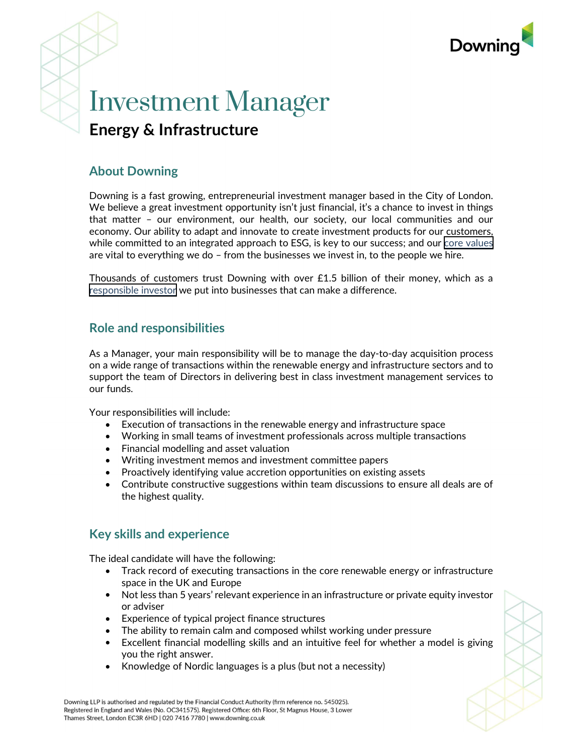

# Investment Manager Energy & Infrastructure

# About Downing

Downing is a fast growing, entrepreneurial investment manager based in the City of London. We believe a great investment opportunity isn't just financial, it's a chance to invest in things that matter – our environment, our health, our society, our local communities and our economy. Our ability to adapt and innovate to create investment products for our customers, while committed to an integrated approach to ESG, is key to our success; and our [core values](https://www.downing.co.uk/about-us) are vital to everything we do – from the businesses we invest in, to the people we hire.

Thousands of customers trust Downing with over £1.5 billion of their money, which as a [responsible investor](https://www.downing.co.uk/responsible-investing) we put into businesses that can make a difference.

### Role and responsibilities

As a Manager, your main responsibility will be to manage the day-to-day acquisition process on a wide range of transactions within the renewable energy and infrastructure sectors and to support the team of Directors in delivering best in class investment management services to our funds.

Your responsibilities will include:

- Execution of transactions in the renewable energy and infrastructure space
- Working in small teams of investment professionals across multiple transactions
- Financial modelling and asset valuation
- Writing investment memos and investment committee papers
- Proactively identifying value accretion opportunities on existing assets
- Contribute constructive suggestions within team discussions to ensure all deals are of the highest quality.

### Key skills and experience

The ideal candidate will have the following:

- Track record of executing transactions in the core renewable energy or infrastructure space in the UK and Europe
- Not less than 5 years' relevant experience in an infrastructure or private equity investor or adviser
- Experience of typical project finance structures
- The ability to remain calm and composed whilst working under pressure
- Excellent financial modelling skills and an intuitive feel for whether a model is giving you the right answer.
- Knowledge of Nordic languages is a plus (but not a necessity)